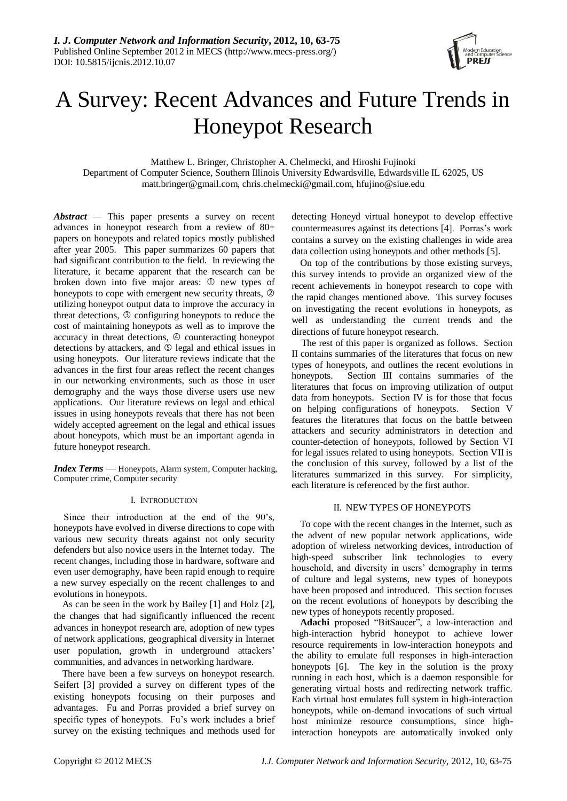

# A Survey: Recent Advances and Future Trends in Honeypot Research

Matthew L. Bringer, Christopher A. Chelmecki, and Hiroshi Fujinoki

Department of Computer Science, Southern Illinois University Edwardsville, Edwardsville IL 62025, US matt.bringer@gmail.com, chris.chelmecki@gmail.com, hfujino@siue.edu

*Abstract —* This paper presents a survey on recent advances in honeypot research from a review of 80+ papers on honeypots and related topics mostly published after year 2005. This paper summarizes 60 papers that had significant contribution to the field. In reviewing the literature, it became apparent that the research can be broken down into five major areas:  $\mathcal D$  new types of honeypots to cope with emergent new security threats,  $\circledcirc$ utilizing honeypot output data to improve the accuracy in threat detections,  $\circled{}$  configuring honeypots to reduce the cost of maintaining honeypots as well as to improve the accuracy in threat detections,  $@$  counteracting honeypot detections by attackers, and  $\circledS$  legal and ethical issues in using honeypots. Our literature reviews indicate that the advances in the first four areas reflect the recent changes in our networking environments, such as those in user demography and the ways those diverse users use new applications. Our literature reviews on legal and ethical issues in using honeypots reveals that there has not been widely accepted agreement on the legal and ethical issues about honeypots, which must be an important agenda in future honeypot research.

*Index Terms* — Honeypots, Alarm system, Computer hacking, Computer crime, Computer security

## I. INTRODUCTION

Since their introduction at the end of the 90's, honeypots have evolved in diverse directions to cope with various new security threats against not only security defenders but also novice users in the Internet today. The recent changes, including those in hardware, software and even user demography, have been rapid enough to require a new survey especially on the recent challenges to and evolutions in honeypots.

As can be seen in the work by Bailey [1] and Holz [2], the changes that had significantly influenced the recent advances in honeypot research are, adoption of new types of network applications, geographical diversity in Internet user population, growth in underground attackers' communities, and advances in networking hardware.

There have been a few surveys on honeypot research. Seifert [3] provided a survey on different types of the existing honeypots focusing on their purposes and advantages. Fu and Porras provided a brief survey on specific types of honeypots. Fu's work includes a brief survey on the existing techniques and methods used for

detecting Honeyd virtual honeypot to develop effective countermeasures against its detections [4]. Porras's work contains a survey on the existing challenges in wide area data collection using honeypots and other methods [5].

On top of the contributions by those existing surveys, this survey intends to provide an organized view of the recent achievements in honeypot research to cope with the rapid changes mentioned above. This survey focuses on investigating the recent evolutions in honeypots, as well as understanding the current trends and the directions of future honeypot research.

The rest of this paper is organized as follows. Section II contains summaries of the literatures that focus on new types of honeypots, and outlines the recent evolutions in honeypots. Section III contains summaries of the literatures that focus on improving utilization of output data from honeypots. Section IV is for those that focus on helping configurations of honeypots. Section V features the literatures that focus on the battle between attackers and security administrators in detection and counter-detection of honeypots, followed by Section VI for legal issues related to using honeypots. Section VII is the conclusion of this survey, followed by a list of the literatures summarized in this survey. For simplicity, each literature is referenced by the first author.

## II. NEW TYPES OF HONEYPOTS

To cope with the recent changes in the Internet, such as the advent of new popular network applications, wide adoption of wireless networking devices, introduction of high-speed subscriber link technologies to every household, and diversity in users' demography in terms of culture and legal systems, new types of honeypots have been proposed and introduced. This section focuses on the recent evolutions of honeypots by describing the new types of honeypots recently proposed.

Adachi proposed "BitSaucer", a low-interaction and high-interaction hybrid honeypot to achieve lower resource requirements in low-interaction honeypots and the ability to emulate full responses in high-interaction honeypots [6]. The key in the solution is the proxy running in each host, which is a daemon responsible for generating virtual hosts and redirecting network traffic. Each virtual host emulates full system in high-interaction honeypots, while on-demand invocations of such virtual host minimize resource consumptions, since highinteraction honeypots are automatically invoked only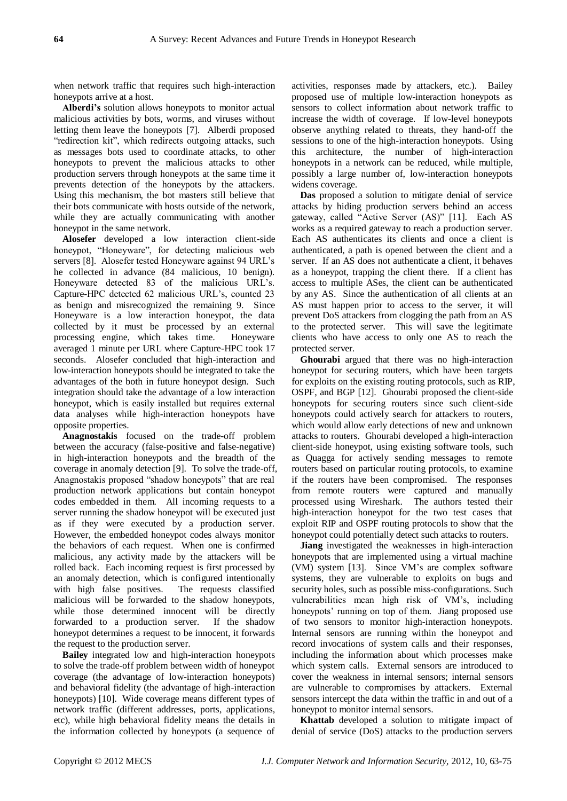when network traffic that requires such high-interaction honeypots arrive at a host.

**Alberdi's** solution allows honeypots to monitor actual malicious activities by bots, worms, and viruses without letting them leave the honeypots [7]. Alberdi proposed "redirection kit", which redirects outgoing attacks, such as messages bots used to coordinate attacks, to other honeypots to prevent the malicious attacks to other production servers through honeypots at the same time it prevents detection of the honeypots by the attackers. Using this mechanism, the bot masters still believe that their bots communicate with hosts outside of the network, while they are actually communicating with another honeypot in the same network.

**Alosefer** developed a low interaction client-side honeypot, "Honeyware", for detecting malicious web servers [8]. Alosefer tested Honeyware against 94 URL's he collected in advance (84 malicious, 10 benign). Honeyware detected 83 of the malicious URL's. Capture-HPC detected 62 malicious URL's, counted 23 as benign and misrecognized the remaining 9. Since Honeyware is a low interaction honeypot, the data collected by it must be processed by an external processing engine, which takes time. Honeyware averaged 1 minute per URL where Capture-HPC took 17 seconds. Alosefer concluded that high-interaction and low-interaction honeypots should be integrated to take the advantages of the both in future honeypot design. Such integration should take the advantage of a low interaction honeypot, which is easily installed but requires external data analyses while high-interaction honeypots have opposite properties.

**Anagnostakis** focused on the trade-off problem between the accuracy (false-positive and false-negative) in high-interaction honeypots and the breadth of the coverage in anomaly detection [9]. To solve the trade-off, Anagnostakis proposed "shadow honeypots" that are real production network applications but contain honeypot codes embedded in them. All incoming requests to a server running the shadow honeypot will be executed just as if they were executed by a production server. However, the embedded honeypot codes always monitor the behaviors of each request. When one is confirmed malicious, any activity made by the attackers will be rolled back. Each incoming request is first processed by an anomaly detection, which is configured intentionally with high false positives. The requests classified malicious will be forwarded to the shadow honeypots, while those determined innocent will be directly forwarded to a production server. If the shadow honeypot determines a request to be innocent, it forwards the request to the production server.

**Bailey** integrated low and high-interaction honeypots to solve the trade-off problem between width of honeypot coverage (the advantage of low-interaction honeypots) and behavioral fidelity (the advantage of high-interaction honeypots) [10]. Wide coverage means different types of network traffic (different addresses, ports, applications, etc), while high behavioral fidelity means the details in the information collected by honeypots (a sequence of activities, responses made by attackers, etc.). Bailey proposed use of multiple low-interaction honeypots as sensors to collect information about network traffic to increase the width of coverage. If low-level honeypots observe anything related to threats, they hand-off the sessions to one of the high-interaction honeypots. Using this architecture, the number of high-interaction honeypots in a network can be reduced, while multiple, possibly a large number of, low-interaction honeypots widens coverage.

**Das** proposed a solution to mitigate denial of service attacks by hiding production servers behind an access gateway, called "Active Server (AS)" [11]. Each AS works as a required gateway to reach a production server. Each AS authenticates its clients and once a client is authenticated, a path is opened between the client and a server. If an AS does not authenticate a client, it behaves as a honeypot, trapping the client there. If a client has access to multiple ASes, the client can be authenticated by any AS. Since the authentication of all clients at an AS must happen prior to access to the server, it will prevent DoS attackers from clogging the path from an AS to the protected server. This will save the legitimate clients who have access to only one AS to reach the protected server.

**Ghourabi** argued that there was no high-interaction honeypot for securing routers, which have been targets for exploits on the existing routing protocols, such as RIP, OSPF, and BGP [12]. Ghourabi proposed the client-side honeypots for securing routers since such client-side honeypots could actively search for attackers to routers, which would allow early detections of new and unknown attacks to routers. Ghourabi developed a high-interaction client-side honeypot, using existing software tools, such as Quagga for actively sending messages to remote routers based on particular routing protocols, to examine if the routers have been compromised. The responses from remote routers were captured and manually processed using Wireshark. The authors tested their high-interaction honeypot for the two test cases that exploit RIP and OSPF routing protocols to show that the honeypot could potentially detect such attacks to routers.

**Jiang** investigated the weaknesses in high-interaction honeypots that are implemented using a virtual machine (VM) system [13]. Since VM's are complex software systems, they are vulnerable to exploits on bugs and security holes, such as possible miss-configurations. Such vulnerabilities mean high risk of VM's, including honeypots' running on top of them. Jiang proposed use of two sensors to monitor high-interaction honeypots. Internal sensors are running within the honeypot and record invocations of system calls and their responses, including the information about which processes make which system calls. External sensors are introduced to cover the weakness in internal sensors; internal sensors are vulnerable to compromises by attackers. External sensors intercept the data within the traffic in and out of a honeypot to monitor internal sensors.

**Khattab** developed a solution to mitigate impact of denial of service (DoS) attacks to the production servers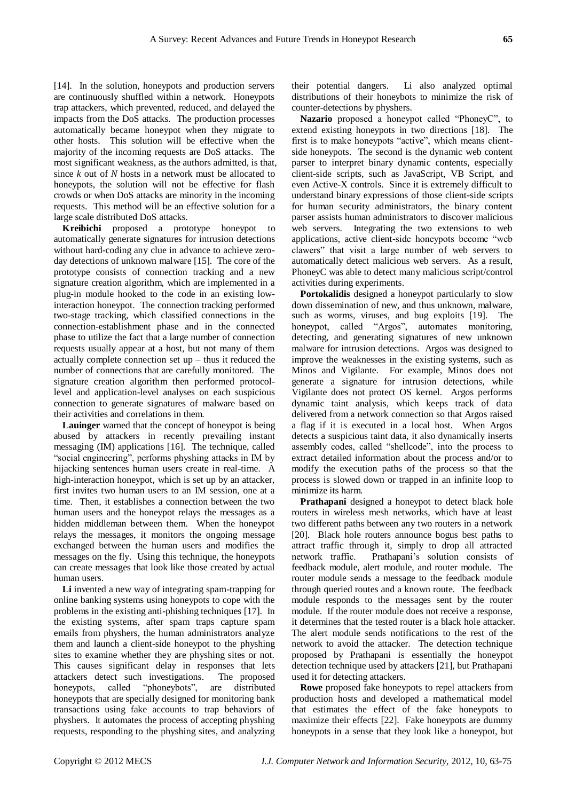[14]. In the solution, honeypots and production servers are continuously shuffled within a network. Honeypots trap attackers, which prevented, reduced, and delayed the impacts from the DoS attacks. The production processes automatically became honeypot when they migrate to other hosts. This solution will be effective when the majority of the incoming requests are DoS attacks. The most significant weakness, as the authors admitted, is that, since *k* out of *N* hosts in a network must be allocated to honeypots, the solution will not be effective for flash crowds or when DoS attacks are minority in the incoming requests. This method will be an effective solution for a large scale distributed DoS attacks.

**Kreibichi** proposed a prototype honeypot to automatically generate signatures for intrusion detections without hard-coding any clue in advance to achieve zeroday detections of unknown malware [15]. The core of the prototype consists of connection tracking and a new signature creation algorithm, which are implemented in a plug-in module hooked to the code in an existing lowinteraction honeypot. The connection tracking performed two-stage tracking, which classified connections in the connection-establishment phase and in the connected phase to utilize the fact that a large number of connection requests usually appear at a host, but not many of them actually complete connection set  $up$  – thus it reduced the number of connections that are carefully monitored. The signature creation algorithm then performed protocollevel and application-level analyses on each suspicious connection to generate signatures of malware based on their activities and correlations in them.

**Lauinger** warned that the concept of honeypot is being abused by attackers in recently prevailing instant messaging (IM) applications [16]. The technique, called "social engineering", performs physhing attacks in IM by hijacking sentences human users create in real-time. A high-interaction honeypot, which is set up by an attacker, first invites two human users to an IM session, one at a time. Then, it establishes a connection between the two human users and the honeypot relays the messages as a hidden middleman between them. When the honeypot relays the messages, it monitors the ongoing message exchanged between the human users and modifies the messages on the fly. Using this technique, the honeypots can create messages that look like those created by actual human users.

**Li** invented a new way of integrating spam-trapping for online banking systems using honeypots to cope with the problems in the existing anti-phishing techniques [17]. In the existing systems, after spam traps capture spam emails from physhers, the human administrators analyze them and launch a client-side honeypot to the physhing sites to examine whether they are physhing sites or not. This causes significant delay in responses that lets attackers detect such investigations. The proposed honeypots, called "phoneybots", are distributed honeypots that are specially designed for monitoring bank transactions using fake accounts to trap behaviors of physhers. It automates the process of accepting physhing requests, responding to the physhing sites, and analyzing

their potential dangers. Li also analyzed optimal distributions of their honeybots to minimize the risk of counter-detections by physhers.

Nazario proposed a honeypot called "PhoneyC", to extend existing honeypots in two directions [18]. The first is to make honeypots "active", which means clientside honeypots. The second is the dynamic web content parser to interpret binary dynamic contents, especially client-side scripts, such as JavaScript, VB Script, and even Active-X controls. Since it is extremely difficult to understand binary expressions of those client-side scripts for human security administrators, the binary content parser assists human administrators to discover malicious web servers. Integrating the two extensions to web applications, active client-side honeypots become "web clawers" that visit a large number of web servers to automatically detect malicious web servers. As a result, PhoneyC was able to detect many malicious script/control activities during experiments.

**Portokalidis** designed a honeypot particularly to slow down dissemination of new, and thus unknown, malware, such as worms, viruses, and bug exploits [19]. The honeypot, called "Argos", automates monitoring, detecting, and generating signatures of new unknown malware for intrusion detections. Argos was designed to improve the weaknesses in the existing systems, such as Minos and Vigilante. For example, Minos does not generate a signature for intrusion detections, while Vigilante does not protect OS kernel. Argos performs dynamic taint analysis, which keeps track of data delivered from a network connection so that Argos raised a flag if it is executed in a local host. When Argos detects a suspicious taint data, it also dynamically inserts assembly codes, called "shellcode", into the process to extract detailed information about the process and/or to modify the execution paths of the process so that the process is slowed down or trapped in an infinite loop to minimize its harm.

**Prathapani** designed a honeypot to detect black hole routers in wireless mesh networks, which have at least two different paths between any two routers in a network [20]. Black hole routers announce bogus best paths to attract traffic through it, simply to drop all attracted network traffic. Prathapani's solution consists of feedback module, alert module, and router module. The router module sends a message to the feedback module through queried routes and a known route. The feedback module responds to the messages sent by the router module. If the router module does not receive a response, it determines that the tested router is a black hole attacker. The alert module sends notifications to the rest of the network to avoid the attacker. The detection technique proposed by Prathapani is essentially the honeypot detection technique used by attackers [21], but Prathapani used it for detecting attackers.

**Rowe** proposed fake honeypots to repel attackers from production hosts and developed a mathematical model that estimates the effect of the fake honeypots to maximize their effects [22]. Fake honeypots are dummy honeypots in a sense that they look like a honeypot, but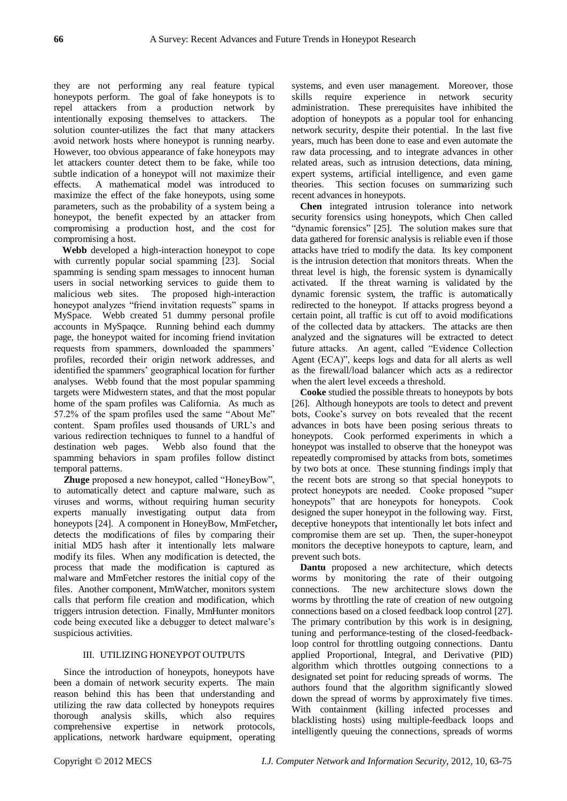they are not performing any real feature typical honeypots perform. The goal of fake honeypots is to repel attackers from a production network by intentionally exposing themselves to attackers. The solution counter-utilizes the fact that many attackers avoid network hosts where honeypot is running nearby. However, too obvious appearance of fake honeypots may let attackers counter detect them to be fake, while too subtle indication of a honeypot will not maximize their effects. A mathematical model was introduced to maximize the effect of the fake honeypots, using some parameters, such as the probability of a system being a honeypot, the benefit expected by an attacker from compromising a production host, and the cost for compromising a host.

**Webb** developed a high-interaction honeypot to cope with currently popular social spamming [23]. Social spamming is sending spam messages to innocent human users in social networking services to guide them to malicious web sites. The proposed high-interaction honeypot analyzes "friend invitation requests" spams in MySpace. Webb created 51 dummy personal profile accounts in MySpaqce. Running behind each dummy page, the honeypot waited for incoming friend invitation requests from spammers, downloaded the spammers' profiles, recorded their origin network addresses, and identified the spammers' geographical location for further analyses. Webb found that the most popular spamming targets were Midwestern states, and that the most popular home of the spam profiles was California. As much as 57.2% of the spam profiles used the same "About Me" content. Spam profiles used thousands of URL's and various redirection techniques to funnel to a handful of destination web pages. Webb also found that the spamming behaviors in spam profiles follow distinct temporal patterns.

**Zhuge** proposed a new honeypot, called "HoneyBow", to automatically detect and capture malware, such as viruses and worms, without requiring human security experts manually investigating output data from honeypots [24]. A component in HoneyBow, MmFetcher**,**  detects the modifications of files by comparing their initial MD5 hash after it intentionally lets malware modify its files. When any modification is detected, the process that made the modification is captured as malware and MmFetcher restores the initial copy of the files. Another component, MmWatcher, monitors system calls that perform file creation and modification, which triggers intrusion detection. Finally, MmHunter monitors code being executed like a debugger to detect malware's suspicious activities.

## III. UTILIZING HONEYPOT OUTPUTS

Since the introduction of honeypots, honeypots have been a domain of network security experts. The main reason behind this has been that understanding and utilizing the raw data collected by honeypots requires thorough analysis skills, which also requires comprehensive expertise in network protocols, applications, network hardware equipment, operating systems, and even user management. Moreover, those skills require experience in network security administration. These prerequisites have inhibited the adoption of honeypots as a popular tool for enhancing network security, despite their potential. In the last five years, much has been done to ease and even automate the raw data processing, and to integrate advances in other related areas, such as intrusion detections, data mining, expert systems, artificial intelligence, and even game theories. This section focuses on summarizing such recent advances in honeypots.

**Chen** integrated intrusion tolerance into network security forensics using honeypots, which Chen called "dynamic forensics" [25]. The solution makes sure that data gathered for forensic analysis is reliable even if those attacks have tried to modify the data. Its key component is the intrusion detection that monitors threats. When the threat level is high, the forensic system is dynamically activated. If the threat warning is validated by the dynamic forensic system, the traffic is automatically redirected to the honeypot. If attacks progress beyond a certain point, all traffic is cut off to avoid modifications of the collected data by attackers. The attacks are then analyzed and the signatures will be extracted to detect future attacks. An agent, called "Evidence Collection" Agent (ECA)", keeps logs and data for all alerts as well as the firewall/load balancer which acts as a redirector when the alert level exceeds a threshold.

**Cooke** studied the possible threats to honeypots by bots [26]. Although honeypots are tools to detect and prevent bots, Cooke's survey on bots revealed that the recent advances in bots have been posing serious threats to honeypots. Cook performed experiments in which a honeypot was installed to observe that the honeypot was repeatedly compromised by attacks from bots, sometimes by two bots at once. These stunning findings imply that the recent bots are strong so that special honeypots to protect honeypots are needed. Cooke proposed "super honeypots" that are honeypots for honeypots. Cook designed the super honeypot in the following way. First, deceptive honeypots that intentionally let bots infect and compromise them are set up. Then, the super-honeypot monitors the deceptive honeypots to capture, learn, and prevent such bots.

**Dantu** proposed a new architecture, which detects worms by monitoring the rate of their outgoing connections. The new architecture slows down the worms by throttling the rate of creation of new outgoing connections based on a closed feedback loop control [27]. The primary contribution by this work is in designing, tuning and performance-testing of the closed-feedbackloop control for throttling outgoing connections. Dantu applied Proportional, Integral, and Derivative (PID) algorithm which throttles outgoing connections to a designated set point for reducing spreads of worms. The authors found that the algorithm significantly slowed down the spread of worms by approximately five times. With containment (killing infected processes and blacklisting hosts) using multiple-feedback loops and intelligently queuing the connections, spreads of worms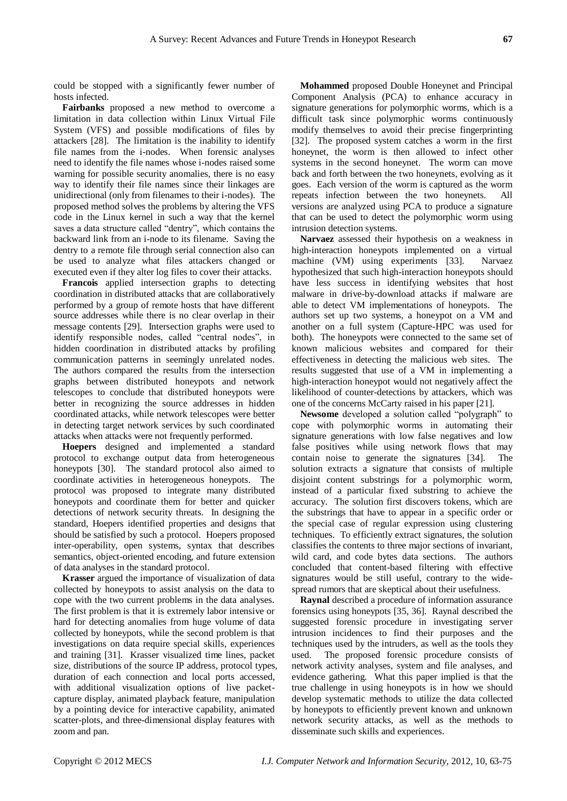could be stopped with a significantly fewer number of hosts infected.

**Fairbanks** proposed a new method to overcome a limitation in data collection within Linux Virtual File System (VFS) and possible modifications of files by attackers [28]. The limitation is the inability to identify file names from the i-nodes. When forensic analyses need to identify the file names whose i-nodes raised some warning for possible security anomalies, there is no easy way to identify their file names since their linkages are unidirectional (only from filenames to their i-nodes). The proposed method solves the problems by altering the VFS code in the Linux kernel in such a way that the kernel saves a data structure called "dentry", which contains the backward link from an i-node to its filename. Saving the dentry to a remote file through serial connection also can be used to analyze what files attackers changed or executed even if they alter log files to cover their attacks.

**Francois** applied intersection graphs to detecting coordination in distributed attacks that are collaboratively performed by a group of remote hosts that have different source addresses while there is no clear overlap in their message contents [29]. Intersection graphs were used to identify responsible nodes, called "central nodes", in hidden coordination in distributed attacks by profiling communication patterns in seemingly unrelated nodes. The authors compared the results from the intersection graphs between distributed honeypots and network telescopes to conclude that distributed honeypots were better in recognizing the source addresses in hidden coordinated attacks, while network telescopes were better in detecting target network services by such coordinated attacks when attacks were not frequently performed.

**Hoepers** designed and implemented a standard protocol to exchange output data from heterogeneous honeypots [30]. The standard protocol also aimed to coordinate activities in heterogeneous honeypots. The protocol was proposed to integrate many distributed honeypots and coordinate them for better and quicker detections of network security threats. In designing the standard, Hoepers identified properties and designs that should be satisfied by such a protocol. Hoepers proposed inter-operability, open systems, syntax that describes semantics, object-oriented encoding, and future extension of data analyses in the standard protocol.

**Krasser** argued the importance of visualization of data collected by honeypots to assist analysis on the data to cope with the two current problems in the data analyses. The first problem is that it is extremely labor intensive or hard for detecting anomalies from huge volume of data collected by honeypots, while the second problem is that investigations on data require special skills, experiences and training [31]. Krasser visualized time lines, packet size, distributions of the source IP address, protocol types, duration of each connection and local ports accessed, with additional visualization options of live packetcapture display, animated playback feature, manipulation by a pointing device for interactive capability, animated scatter-plots, and three-dimensional display features with zoom and pan.

**Mohammed** proposed Double Honeynet and Principal Component Analysis (PCA) to enhance accuracy in signature generations for polymorphic worms, which is a difficult task since polymorphic worms continuously modify themselves to avoid their precise fingerprinting [32]. The proposed system catches a worm in the first honeynet, the worm is then allowed to infect other systems in the second honeynet. The worm can move back and forth between the two honeynets, evolving as it goes. Each version of the worm is captured as the worm repeats infection between the two honeynets. All versions are analyzed using PCA to produce a signature that can be used to detect the polymorphic worm using intrusion detection systems.

**Narvaez** assessed their hypothesis on a weakness in high-interaction honeypots implemented on a virtual machine (VM) using experiments [33]. Narvaez hypothesized that such high-interaction honeypots should have less success in identifying websites that host malware in drive-by-download attacks if malware are able to detect VM implementations of honeypots. The authors set up two systems, a honeypot on a VM and another on a full system (Capture-HPC was used for both). The honeypots were connected to the same set of known malicious websites and compared for their effectiveness in detecting the malicious web sites. The results suggested that use of a VM in implementing a high-interaction honeypot would not negatively affect the likelihood of counter-detections by attackers, which was one of the concerns McCarty raised in his paper [21].

**Newsome** developed a solution called "polygraph" to cope with polymorphic worms in automating their signature generations with low false negatives and low false positives while using network flows that may contain noise to generate the signatures [34]. The solution extracts a signature that consists of multiple disjoint content substrings for a polymorphic worm, instead of a particular fixed substring to achieve the accuracy. The solution first discovers tokens, which are the substrings that have to appear in a specific order or the special case of regular expression using clustering techniques. To efficiently extract signatures, the solution classifies the contents to three major sections of invariant, wild card, and code bytes data sections. The authors concluded that content-based filtering with effective signatures would be still useful, contrary to the widespread rumors that are skeptical about their usefulness.

**Raynal** described a procedure of information assurance forensics using honeypots [35, 36]. Raynal described the suggested forensic procedure in investigating server intrusion incidences to find their purposes and the techniques used by the intruders, as well as the tools they used. The proposed forensic procedure consists of network activity analyses, system and file analyses, and evidence gathering. What this paper implied is that the true challenge in using honeypots is in how we should develop systematic methods to utilize the data collected by honeypots to efficiently prevent known and unknown network security attacks, as well as the methods to disseminate such skills and experiences.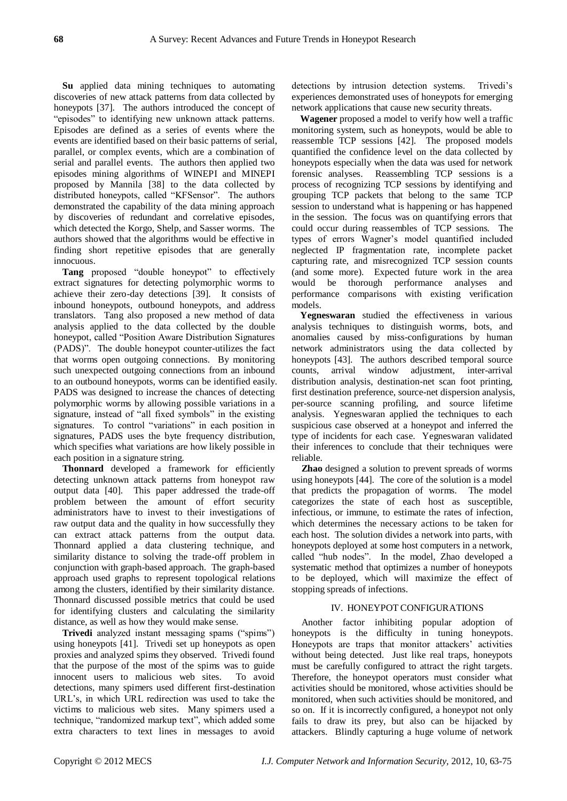**Su** applied data mining techniques to automating discoveries of new attack patterns from data collected by honeypots [37]. The authors introduced the concept of "episodes" to identifying new unknown attack patterns. Episodes are defined as a series of events where the events are identified based on their basic patterns of serial, parallel, or complex events, which are a combination of serial and parallel events. The authors then applied two episodes mining algorithms of WINEPI and MINEPI proposed by Mannila [38] to the data collected by distributed honeypots, called "KFSensor". The authors demonstrated the capability of the data mining approach by discoveries of redundant and correlative episodes, which detected the Korgo, Shelp, and Sasser worms. The authors showed that the algorithms would be effective in finding short repetitive episodes that are generally innocuous.

**Tang** proposed "double honeypot" to effectively extract signatures for detecting polymorphic worms to achieve their zero-day detections [39]. It consists of inbound honeypots, outbound honeypots, and address translators. Tang also proposed a new method of data analysis applied to the data collected by the double honeypot, called "Position Aware Distribution Signatures" (PADS)". The double honeypot counter-utilizes the fact that worms open outgoing connections. By monitoring such unexpected outgoing connections from an inbound to an outbound honeypots, worms can be identified easily. PADS was designed to increase the chances of detecting polymorphic worms by allowing possible variations in a signature, instead of "all fixed symbols" in the existing signatures. To control "variations" in each position in signatures, PADS uses the byte frequency distribution, which specifies what variations are how likely possible in each position in a signature string.

**Thonnard** developed a framework for efficiently detecting unknown attack patterns from honeypot raw output data [40]. This paper addressed the trade-off problem between the amount of effort security administrators have to invest to their investigations of raw output data and the quality in how successfully they can extract attack patterns from the output data. Thonnard applied a data clustering technique, and similarity distance to solving the trade-off problem in conjunction with graph-based approach. The graph-based approach used graphs to represent topological relations among the clusters, identified by their similarity distance. Thonnard discussed possible metrics that could be used for identifying clusters and calculating the similarity distance, as well as how they would make sense.

**Trivedi** analyzed instant messaging spams ("spims") using honeypots [41]. Trivedi set up honeypots as open proxies and analyzed spims they observed. Trivedi found that the purpose of the most of the spims was to guide innocent users to malicious web sites. To avoid detections, many spimers used different first-destination URL's, in which URL redirection was used to take the victims to malicious web sites. Many spimers used a technique, "randomized markup text", which added some extra characters to text lines in messages to avoid

detections by intrusion detection systems. Trivedi's experiences demonstrated uses of honeypots for emerging network applications that cause new security threats.

**Wagener** proposed a model to verify how well a traffic monitoring system, such as honeypots, would be able to reassemble TCP sessions [42]. The proposed models quantified the confidence level on the data collected by honeypots especially when the data was used for network forensic analyses. Reassembling TCP sessions is a process of recognizing TCP sessions by identifying and grouping TCP packets that belong to the same TCP session to understand what is happening or has happened in the session. The focus was on quantifying errors that could occur during reassembles of TCP sessions. The types of errors Wagner's model quantified included neglected IP fragmentation rate, incomplete packet capturing rate, and misrecognized TCP session counts (and some more). Expected future work in the area would be thorough performance analyses and performance comparisons with existing verification models.

**Yegneswaran** studied the effectiveness in various analysis techniques to distinguish worms, bots, and anomalies caused by miss-configurations by human network administrators using the data collected by honeypots [43]. The authors described temporal source counts, arrival window adjustment, inter-arrival distribution analysis, destination-net scan foot printing, first destination preference, source-net dispersion analysis, per-source scanning profiling, and source lifetime analysis. Yegneswaran applied the techniques to each suspicious case observed at a honeypot and inferred the type of incidents for each case. Yegneswaran validated their inferences to conclude that their techniques were reliable.

**Zhao** designed a solution to prevent spreads of worms using honeypots [44]. The core of the solution is a model that predicts the propagation of worms. The model categorizes the state of each host as susceptible, infectious, or immune, to estimate the rates of infection, which determines the necessary actions to be taken for each host. The solution divides a network into parts, with honeypots deployed at some host computers in a network, called "hub nodes". In the model, Zhao developed a systematic method that optimizes a number of honeypots to be deployed, which will maximize the effect of stopping spreads of infections.

## IV. HONEYPOT CONFIGURATIONS

Another factor inhibiting popular adoption of honeypots is the difficulty in tuning honeypots. Honeypots are traps that monitor attackers' activities without being detected. Just like real traps, honeypots must be carefully configured to attract the right targets. Therefore, the honeypot operators must consider what activities should be monitored, whose activities should be monitored, when such activities should be monitored, and so on. If it is incorrectly configured, a honeypot not only fails to draw its prey, but also can be hijacked by attackers. Blindly capturing a huge volume of network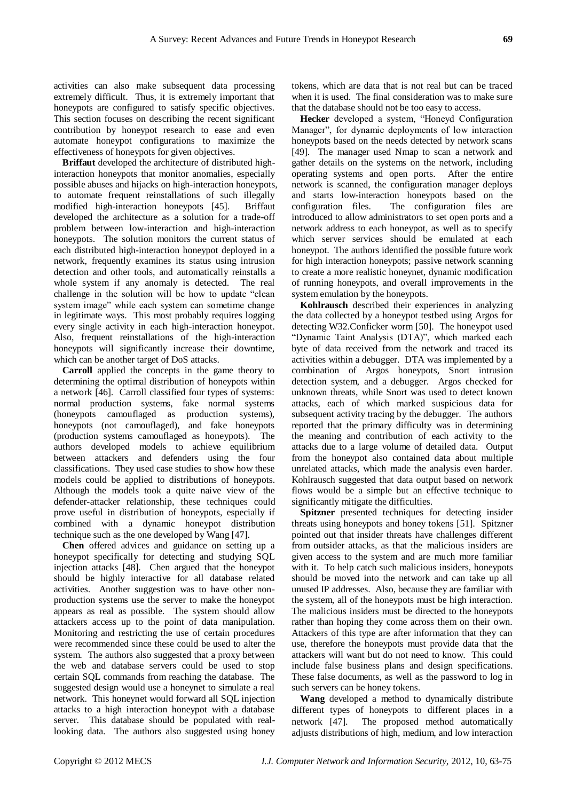activities can also make subsequent data processing extremely difficult. Thus, it is extremely important that honeypots are configured to satisfy specific objectives. This section focuses on describing the recent significant contribution by honeypot research to ease and even automate honeypot configurations to maximize the effectiveness of honeypots for given objectives.

**Briffaut** developed the architecture of distributed highinteraction honeypots that monitor anomalies, especially possible abuses and hijacks on high-interaction honeypots, to automate frequent reinstallations of such illegally modified high-interaction honeypots [45]. Briffaut developed the architecture as a solution for a trade-off problem between low-interaction and high-interaction honeypots. The solution monitors the current status of each distributed high-interaction honeypot deployed in a network, frequently examines its status using intrusion detection and other tools, and automatically reinstalls a whole system if any anomaly is detected. The real challenge in the solution will be how to update "clean system image" while each system can sometime change in legitimate ways. This most probably requires logging every single activity in each high-interaction honeypot. Also, frequent reinstallations of the high-interaction honeypots will significantly increase their downtime, which can be another target of DoS attacks.

**Carroll** applied the concepts in the game theory to determining the optimal distribution of honeypots within a network [46]. Carroll classified four types of systems: normal production systems, fake normal systems (honeypots camouflaged as production systems), honeypots (not camouflaged), and fake honeypots (production systems camouflaged as honeypots). The authors developed models to achieve equilibrium between attackers and defenders using the four classifications. They used case studies to show how these models could be applied to distributions of honeypots. Although the models took a quite naive view of the defender-attacker relationship, these techniques could prove useful in distribution of honeypots, especially if combined with a dynamic honeypot distribution technique such as the one developed by Wang [47].

**Chen** offered advices and guidance on setting up a honeypot specifically for detecting and studying SQL injection attacks [48]. Chen argued that the honeypot should be highly interactive for all database related activities. Another suggestion was to have other nonproduction systems use the server to make the honeypot appears as real as possible. The system should allow attackers access up to the point of data manipulation. Monitoring and restricting the use of certain procedures were recommended since these could be used to alter the system. The authors also suggested that a proxy between the web and database servers could be used to stop certain SQL commands from reaching the database. The suggested design would use a honeynet to simulate a real network. This honeynet would forward all SQL injection attacks to a high interaction honeypot with a database server. This database should be populated with reallooking data. The authors also suggested using honey

tokens, which are data that is not real but can be traced when it is used. The final consideration was to make sure that the database should not be too easy to access.

**Hecker** developed a system, "Honeyd Configuration Manager", for dynamic deployments of low interaction honeypots based on the needs detected by network scans [49]. The manager used Nmap to scan a network and gather details on the systems on the network, including operating systems and open ports. After the entire network is scanned, the configuration manager deploys and starts low-interaction honeypots based on the configuration files. The configuration files are introduced to allow administrators to set open ports and a network address to each honeypot, as well as to specify which server services should be emulated at each honeypot. The authors identified the possible future work for high interaction honeypots; passive network scanning to create a more realistic honeynet, dynamic modification of running honeypots, and overall improvements in the system emulation by the honeypots.

**Kohlrausch** described their experiences in analyzing the data collected by a honeypot testbed using Argos for detecting W32.Conficker worm [50]. The honeypot used "Dynamic Taint Analysis (DTA)", which marked each byte of data received from the network and traced its activities within a debugger. DTA was implemented by a combination of Argos honeypots, Snort intrusion detection system, and a debugger. Argos checked for unknown threats, while Snort was used to detect known attacks, each of which marked suspicious data for subsequent activity tracing by the debugger. The authors reported that the primary difficulty was in determining the meaning and contribution of each activity to the attacks due to a large volume of detailed data. Output from the honeypot also contained data about multiple unrelated attacks, which made the analysis even harder. Kohlrausch suggested that data output based on network flows would be a simple but an effective technique to significantly mitigate the difficulties.

**Spitzner** presented techniques for detecting insider threats using honeypots and honey tokens [51]. Spitzner pointed out that insider threats have challenges different from outsider attacks, as that the malicious insiders are given access to the system and are much more familiar with it. To help catch such malicious insiders, honeypots should be moved into the network and can take up all unused IP addresses. Also, because they are familiar with the system, all of the honeypots must be high interaction. The malicious insiders must be directed to the honeypots rather than hoping they come across them on their own. Attackers of this type are after information that they can use, therefore the honeypots must provide data that the attackers will want but do not need to know. This could include false business plans and design specifications. These false documents, as well as the password to log in such servers can be honey tokens.

**Wang** developed a method to dynamically distribute different types of honeypots to different places in a network [47]. The proposed method automatically adjusts distributions of high, medium, and low interaction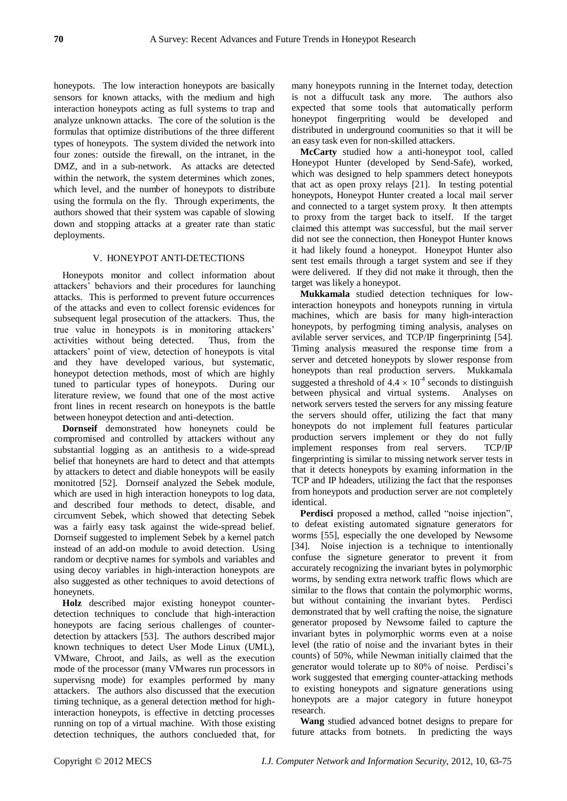honeypots. The low interaction honeypots are basically sensors for known attacks, with the medium and high interaction honeypots acting as full systems to trap and analyze unknown attacks. The core of the solution is the formulas that optimize distributions of the three different types of honeypots. The system divided the network into four zones: outside the firewall, on the intranet, in the DMZ, and in a sub-network. As attacks are detected within the network, the system determines which zones, which level, and the number of honeypots to distribute using the formula on the fly. Through experiments, the authors showed that their system was capable of slowing down and stopping attacks at a greater rate than static deployments.

## V. HONEYPOT ANTI-DETECTIONS

Honeypots monitor and collect information about attackers' behaviors and their procedures for launching attacks. This is performed to prevent future occurrences of the attacks and even to collect forensic evidences for subsequent legal prosecution of the attackers. Thus, the true value in honeypots is in monitoring attackers' activities without being detected. Thus, from the attackers' point of view, detection of honeypots is vital and they have developed various, but systematic, honeypot detection methods, most of which are highly tuned to particular types of honeypots. During our literature review, we found that one of the most active front lines in recent research on honeypots is the battle between honeypot detection and anti-detection.

**Dornseif** demonstrated how honeynets could be compromised and controlled by attackers without any substantial logging as an antithesis to a wide-spread belief that honeynets are hard to detect and that attempts by attackers to detect and diable honeypots will be easily monitotred [52]. Dornseif analyzed the Sebek module, which are used in high interaction honeypots to log data, and described four methods to detect, disable, and circumvent Sebek, which showed that detecting Sebek was a fairly easy task against the wide-spread belief. Dornseif suggested to implement Sebek by a kernel patch instead of an add-on module to avoid detection. Using random or decptive names for symbols and variables and using decoy variables in high-interaction honeypots are also suggested as other techniques to avoid detections of honeynets.

**Holz** described major existing honeypot counterdetection techniques to conclude that high-interaction honeypots are facing serious challenges of counterdetection by attackers [53]. The authors described major known techniques to detect User Mode Linux (UML), VMware, Chroot, and Jails, as well as the execution mode of the processor (many VMwares run processors in supervisng mode) for examples performed by many attackers. The authors also discussed that the execution timing technique, as a general detection method for highinteraction honeypots, is effective in detcting processes running on top of a virtual machine. With those existing detection techniques, the authors conclueded that, for many honeypots running in the Internet today, detection is not a diffucult task any more. The authors also expected that some tools that automatically perform honeypot fingerpriting would be developed and distributed in underground coomunities so that it will be an easy task even for non-skilled attackers.

**McCarty** studied how a anti-honeypot tool, called Honeypot Hunter (developed by Send-Safe), worked, which was designed to help spammers detect honeypots that act as open proxy relays [21]. In testing potential honeypots, Honeypot Hunter created a local mail server and connected to a target system proxy. It then attempts to proxy from the target back to itself. If the target claimed this attempt was successful, but the mail server did not see the connection, then Honeypot Hunter knows it had likely found a honeypot. Honeypot Hunter also sent test emails through a target system and see if they were delivered. If they did not make it through, then the target was likely a honeypot.

**Mukkamala** studied detection techniques for lowinteraction honeypots and honeypots running in virtula machines, which are basis for many high-interaction honeypots, by perfogming timing analysis, analyses on avilable server services, and TCP/IP fingerprinintg [54]. Timing analysis measured the response time from a server and detceted honeypots by slower response from honeypots than real production servers. Mukkamala suggested a threshold of  $4.4 \times 10^{-4}$  seconds to distinguish between physical and virtual systems. Analyses on network servers tested the servers for any missing feature the servers should offer, utilizing the fact that many honeypots do not implement full features particular production servers implement or they do not fully implement responses from real servers. TCP/IP fingerprinting is similar to missing network server tests in that it detects honeypots by examing information in the TCP and IP hdeaders, utilizing the fact that the responses from honeypots and production server are not completely identical.

Perdisci proposed a method, called "noise injection", to defeat existing automated signature generators for worms [55], especially the one developed by Newsome [34]. Noise injection is a technique to intentionally confuse the signeture generator to prevent it from accurately recognizing the invariant bytes in polymorphic worms, by sending extra network traffic flows which are similar to the flows that contain the polymorphic worms, but without containing the invariant bytes. Perdisci demonstrated that by well crafting the noise, the signature generator proposed by Newsome failed to capture the invariant bytes in polymorphic worms even at a noise level (the ratio of noise and the invariant bytes in their counts) of 50%, while Newman initially claimed that the generator would tolerate up to 80% of noise. Perdisci's work suggested that emerging counter-attacking methods to existing honeypots and signature generations using honeypots are a major category in future honeypot research.

**Wang** studied advanced botnet designs to prepare for future attacks from botnets. In predicting the ways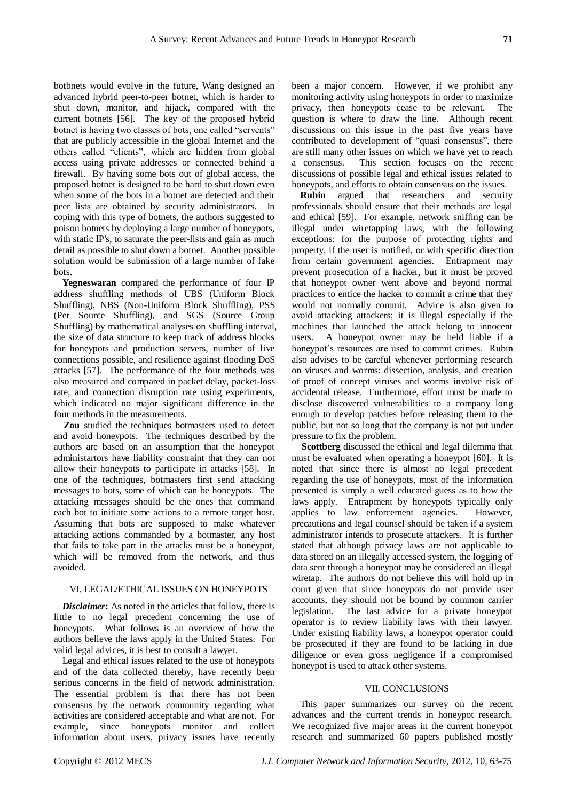botbnets would evolve in the future, Wang designed an advanced hybrid peer-to-peer botnet, which is harder to shut down, monitor, and hijack, compared with the current botnets [56]. The key of the proposed hybrid botnet is having two classes of bots, one called "servents" that are publicly accessible in the global Internet and the others called "clients", which are hidden from global access using private addresses or connected behind a firewall. By having some bots out of global access, the proposed botnet is designed to be hard to shut down even when some of the bots in a botnet are detected and their peer lists are obtained by security administrators. In coping with this type of botnets, the authors suggested to poison botnets by deploying a large number of honeypots, with static IP's, to saturate the peer-lists and gain as much detail as possible to shut down a botnet. Another possible solution would be submission of a large number of fake bots.

**Yegneswaran** compared the performance of four IP address shuffling methods of UBS (Uniform Block Shuffling), NBS (Non-Uniform Block Shuffling), PSS (Per Source Shuffling), and SGS (Source Group Shuffling) by mathematical analyses on shuffling interval, the size of data structure to keep track of address blocks for honeypots and production servers, number of live connections possible, and resilience against flooding DoS attacks [57]. The performance of the four methods was also measured and compared in packet delay, packet-loss rate, and connection disruption rate using experiments, which indicated no major significant difference in the four methods in the measurements.

**Zou** studied the techniques botmasters used to detect and avoid honeypots. The techniques described by the authors are based on an assumption that the honeypot administartors have liability constraint that they can not allow their honeypots to participate in attacks [58]. In one of the techniques, botmasters first send attacking messages to bots, some of which can be honeypots. The attacking messages should be the ones that command each bot to initiate some actions to a remote target host. Assuming that bots are supposed to make whatever attacking actions commanded by a botmaster, any host that fails to take part in the attacks must be a honeypot, which will be removed from the network, and thus avoided.

## VI. LEGAL/ETHICAL ISSUES ON HONEYPOTS

*Disclaimer*: As noted in the articles that follow, there is little to no legal precedent concerning the use of honeypots. What follows is an overview of how the authors believe the laws apply in the United States. For valid legal advices, it is best to consult a lawyer.

Legal and ethical issues related to the use of honeypots and of the data collected thereby, have recently been serious concerns in the field of network administration. The essential problem is that there has not been consensus by the network community regarding what activities are considered acceptable and what are not. For example, since honeypots monitor and collect information about users, privacy issues have recently been a major concern. However, if we prohibit any monitoring activity using honeypots in order to maximize privacy, then honeypots cease to be relevant. The question is where to draw the line. Although recent discussions on this issue in the past five years have contributed to development of "quasi consensus", there are still many other issues on which we have yet to reach a consensus. This section focuses on the recent discussions of possible legal and ethical issues related to honeypots, and efforts to obtain consensus on the issues.

**Rubin** argued that researchers and security professionals should ensure that their methods are legal and ethical [59]. For example, network sniffing can be illegal under wiretapping laws, with the following exceptions: for the purpose of protecting rights and property, if the user is notified, or with specific direction from certain government agencies. Entrapment may prevent prosecution of a hacker, but it must be proved that honeypot owner went above and beyond normal practices to entice the hacker to commit a crime that they would not normally commit. Advice is also given to avoid attacking attackers; it is illegal especially if the machines that launched the attack belong to innocent users. A honeypot owner may be held liable if a honeypot's resources are used to commit crimes. Rubin also advises to be careful whenever performing research on viruses and worms: dissection, analysis, and creation of proof of concept viruses and worms involve risk of accidental release. Furthermore, effort must be made to disclose discovered vulnerabilities to a company long enough to develop patches before releasing them to the public, but not so long that the company is not put under pressure to fix the problem.

**Scottberg** discussed the ethical and legal dilemma that must be evaluated when operating a honeypot [60]. It is noted that since there is almost no legal precedent regarding the use of honeypots, most of the information presented is simply a well educated guess as to how the laws apply. Entrapment by honeypots typically only applies to law enforcement agencies. However, precautions and legal counsel should be taken if a system administrator intends to prosecute attackers. It is further stated that although privacy laws are not applicable to data stored on an illegally accessed system, the logging of data sent through a honeypot may be considered an illegal wiretap. The authors do not believe this will hold up in court given that since honeypots do not provide user accounts, they should not be bound by common carrier legislation. The last advice for a private honeypot operator is to review liability laws with their lawyer. Under existing liability laws, a honeypot operator could be prosecuted if they are found to be lacking in due diligence or even gross negligence if a compromised honeypot is used to attack other systems.

#### VII. CONCLUSIONS

This paper summarizes our survey on the recent advances and the current trends in honeypot research. We recognized five major areas in the current honeypot research and summarized 60 papers published mostly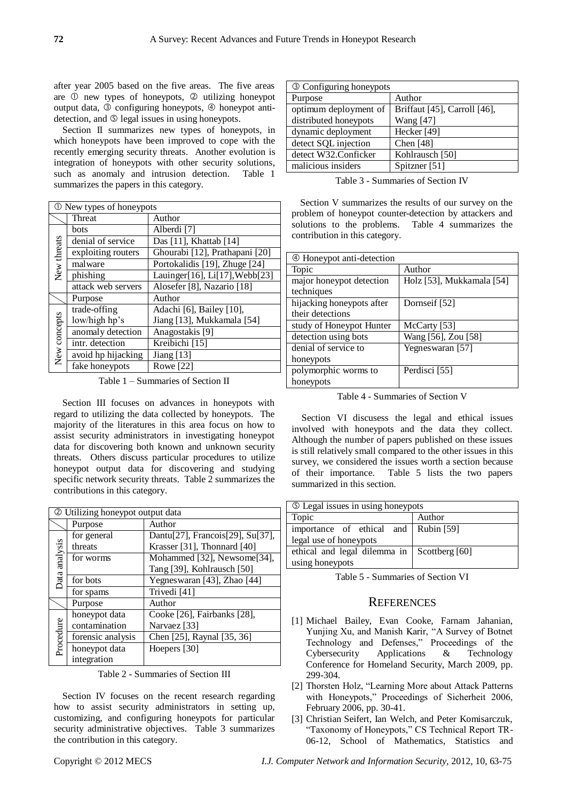after year 2005 based on the five areas. The five areas are  $\mathbb O$  new types of honeypots,  $\mathbb O$  utilizing honeypot output data, <sup>3</sup> configuring honeypots, <sup>4</sup> honeypot antidetection, and  $\circledcirc$  legal issues in using honeypots.

Section II summarizes new types of honeypots, in which honeypots have been improved to cope with the recently emerging security threats. Another evolution is integration of honeypots with other security solutions, such as anomaly and intrusion detection. Table 1 summarizes the papers in this category.

| <b>①</b> New types of honeypots |                    |                                |  |  |
|---------------------------------|--------------------|--------------------------------|--|--|
|                                 | Threat             | Author                         |  |  |
| New threats                     | bots               | Alberdi [7]                    |  |  |
|                                 | denial of service  | Das [11], Khattab [14]         |  |  |
|                                 | exploiting routers | Ghourabi [12], Prathapani [20] |  |  |
|                                 | malware            | Portokalidis [19], Zhuge [24]  |  |  |
|                                 | phishing           | Lauinger[16], Li[17], Webb[23] |  |  |
|                                 | attack web servers | Alosefer [8], Nazario [18]     |  |  |
|                                 | Purpose            | Author                         |  |  |
| New concepts                    | trade-offing       | Adachi [6], Bailey [10],       |  |  |
|                                 | low/high hp's      | Jiang [13], Mukkamala [54]     |  |  |
|                                 | anomaly detection  | Anagostakis [9]                |  |  |
|                                 | intr. detection    | Kreibichi [15]                 |  |  |
|                                 | avoid hp hijacking | Jiang $[13]$                   |  |  |
|                                 | fake honeypots     | Rowe [22]                      |  |  |

Table 1 – Summaries of Section II

Section III focuses on advances in honeypots with regard to utilizing the data collected by honeypots. The majority of the literatures in this area focus on how to assist security administrators in investigating honeypot data for discovering both known and unknown security threats. Others discuss particular procedures to utilize honeypot output data for discovering and studying specific network security threats. Table 2 summarizes the contributions in this category.

| <b>2</b> Utilizing honeypot output data |                   |                                  |  |  |
|-----------------------------------------|-------------------|----------------------------------|--|--|
|                                         | Purpose           | Author                           |  |  |
| analysis<br>hata                        | for general       | Dantu[27], Francois[29], Su[37], |  |  |
|                                         | threats           | Krasser [31], Thonnard [40]      |  |  |
|                                         | for worms         | Mohammed [32], Newsome[34],      |  |  |
|                                         |                   | Tang [39], Kohlrausch [50]       |  |  |
|                                         | for bots          | Yegneswaran [43], Zhao [44]      |  |  |
|                                         | for spams         | Trivedi [41]                     |  |  |
|                                         | Purpose           | Author                           |  |  |
| Procedure                               | honeypot data     | Cooke [26], Fairbanks [28],      |  |  |
|                                         | contamination     | Narvaez [33]                     |  |  |
|                                         | forensic analysis | Chen [25], Raynal [35, 36]       |  |  |
|                                         | honeypot data     | Hoepers [30]                     |  |  |
|                                         | integration       |                                  |  |  |

Table 2 - Summaries of Section III

Section IV focuses on the recent research regarding how to assist security administrators in setting up, customizing, and configuring honeypots for particular security administrative objectives. Table 3 summarizes the contribution in this category.

| <b>3 Configuring honeypots</b> |                              |  |  |  |
|--------------------------------|------------------------------|--|--|--|
| Purpose                        | Author                       |  |  |  |
| optimum deployment of          | Briffaut [45], Carroll [46], |  |  |  |
| distributed honeypots          | Wang [47]                    |  |  |  |
| dynamic deployment             | Hecker <sup>[49]</sup>       |  |  |  |
| detect SQL injection           | Chen $[48]$                  |  |  |  |
| detect W32.Conficker           | Kohlrausch [50]              |  |  |  |
| malicious insiders             | Spitzner [51]                |  |  |  |
|                                |                              |  |  |  |

Table 3 - Summaries of Section IV

Section V summarizes the results of our survey on the problem of honeypot counter-detection by attackers and solutions to the problems. Table 4 summarizes the contribution in this category.

| 4 Honeypot anti-detection |                           |  |  |  |
|---------------------------|---------------------------|--|--|--|
| Topic                     | Author                    |  |  |  |
| major honeypot detection  | Holz [53], Mukkamala [54] |  |  |  |
| techniques                |                           |  |  |  |
| hijacking honeypots after | Dornseif [52]             |  |  |  |
| their detections          |                           |  |  |  |
| study of Honeypot Hunter  | McCarty [53]              |  |  |  |
| detection using bots      | Wang [56], Zou [58]       |  |  |  |
| denial of service to      | Yegnes waran [57]         |  |  |  |
| honeypots                 |                           |  |  |  |
| polymorphic worms to      | Perdisci [55]             |  |  |  |
| honeypots                 |                           |  |  |  |

Table 4 - Summaries of Section V

Section VI discusess the legal and ethical issues involved with honeypots and the data they collect. Although the number of papers published on these issues is still relatively small compared to the other issues in this survey, we considered the issues worth a section because of their importance. Table 5 lists the two papers summarized in this section.

| <b>Example 13</b> Legal issues in using honeypots |                |  |  |  |
|---------------------------------------------------|----------------|--|--|--|
| Topic                                             | Author         |  |  |  |
| importance of ethical and Rubin [59]              |                |  |  |  |
| legal use of honeypots                            |                |  |  |  |
| ethical and legal dilemma in                      | Scottberg [60] |  |  |  |
| using honeypots                                   |                |  |  |  |

Table 5 - Summaries of Section VI

## **REFERENCES**

- [1] Michael Bailey, Evan Cooke, Farnam Jahanian, Yunjing Xu, and Manish Karir, "A Survey of Botnet Technology and Defenses," Proceedings of the Cybersecurity Applications & Technology Conference for Homeland Security, March 2009, pp. 299-304.
- [2] Thorsten Holz, "Learning More about Attack Patterns with Honeypots," Proceedings of Sicherheit 2006, February 2006, pp. 30-41.
- [3] Christian Seifert, Ian Welch, and Peter Komisarczuk, ―Taxonomy of Honeypots,‖ CS Technical Report TR-06-12, School of Mathematics, Statistics and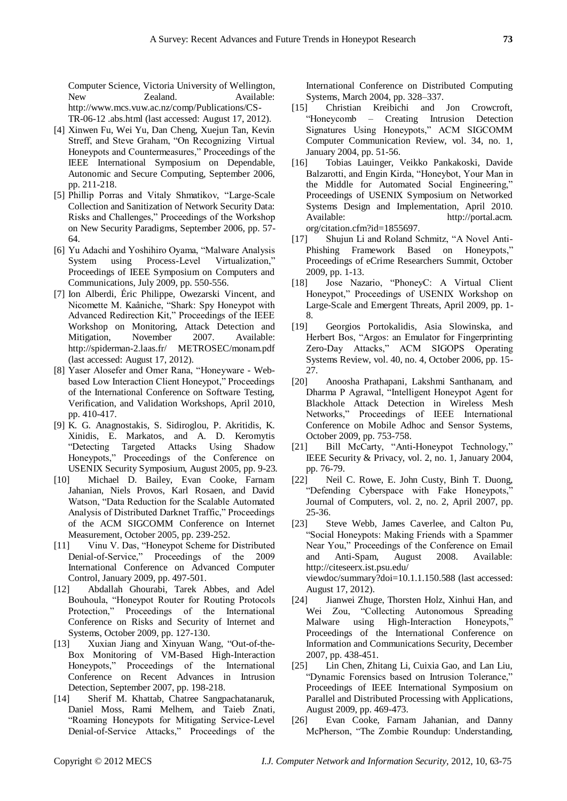Computer Science, Victoria University of Wellington, New **Zealand**. Available: http://www.mcs.vuw.ac.nz/comp/Publications/CS-TR-06-12 .abs.html (last accessed: August 17, 2012).

- [4] Xinwen Fu, Wei Yu, Dan Cheng, Xuejun Tan, Kevin Streff, and Steve Graham, "On Recognizing Virtual Honeypots and Countermeasures," Proceedings of the IEEE International Symposium on Dependable, Autonomic and Secure Computing, September 2006, pp. 211-218.
- [5] Phillip Porras and Vitaly Shmatikov, "Large-Scale Collection and Sanitization of Network Security Data: Risks and Challenges," Proceedings of the Workshop on New Security Paradigms, September 2006, pp. 57- 64.
- [6] Yu Adachi and Yoshihiro Oyama, "Malware Analysis System using Process-Level Virtualization." Proceedings of IEEE Symposium on Computers and Communications, July 2009, pp. 550-556.
- [7] Ion Alberdi, Éric Philippe, Owezarski Vincent, and Nicomette M. Kaâniche, "Shark: Spy Honeypot with Advanced Redirection Kit," Proceedings of the IEEE Workshop on Monitoring, Attack Detection and Mitigation, November 2007. Available: http://spiderman-2.laas.fr/ METROSEC/monam.pdf (last accessed: August 17, 2012).
- [8] Yaser Alosefer and Omer Rana, "Honeyware Webbased Low Interaction Client Honeypot," Proceedings of the International Conference on Software Testing, Verification, and Validation Workshops, April 2010, pp. 410-417.
- [9] K. G. Anagnostakis, S. Sidiroglou, P. Akritidis, K. Xinidis, E. Markatos, and A. D. Keromytis ―Detecting Targeted Attacks Using Shadow Honeypots," Proceedings of the Conference on USENIX Security Symposium, August 2005, pp. 9-23.
- [10] Michael D. Bailey, Evan Cooke, Farnam Jahanian, Niels Provos, Karl Rosaen, and David Watson, "Data Reduction for the Scalable Automated Analysis of Distributed Darknet Traffic," Proceedings of the ACM SIGCOMM Conference on Internet Measurement, October 2005, pp. 239-252.
- [11] Vinu V. Das, "Honeypot Scheme for Distributed Denial-of-Service," Proceedings of the 2009 International Conference on Advanced Computer Control, January 2009, pp. 497-501.
- [12] Abdallah Ghourabi, Tarek Abbes, and Adel Bouhoula, "Honeypot Router for Routing Protocols Protection," Proceedings of the International Conference on Risks and Security of Internet and Systems, October 2009, pp. 127-130.
- [13] Xuxian Jiang and Xinyuan Wang, "Out-of-the-Box Monitoring of VM-Based High-Interaction Honeypots," Proceedings of the International Conference on Recent Advances in Intrusion Detection, September 2007, pp. 198-218.
- [14] Sherif M. Khattab, Chatree Sangpachatanaruk, Daniel Moss, Rami Melhem, and Taieb Znati, ―Roaming Honeypots for Mitigating Service-Level Denial-of-Service Attacks," Proceedings of the

International Conference on Distributed Computing Systems, March 2004, pp. 328–337.

- [15] Christian Kreibichi and Jon Crowcroft, ―Honeycomb – Creating Intrusion Detection Signatures Using Honeypots," ACM SIGCOMM Computer Communication Review, vol. 34, no. 1, January 2004, pp. 51-56.
- [16] Tobias Lauinger, Veikko Pankakoski, Davide Balzarotti, and Engin Kirda, "Honeybot, Your Man in the Middle for Automated Social Engineering," Proceedings of USENIX Symposium on Networked Systems Design and Implementation, April 2010. Available: http://portal.acm. org/citation.cfm?id=1855697.
- [17] Shujun Li and Roland Schmitz, "A Novel Anti-Phishing Framework Based on Honeypots, Proceedings of eCrime Researchers Summit, October 2009, pp. 1-13.
- [18] Jose Nazario, "PhoneyC: A Virtual Client Honeypot," Proceedings of USENIX Workshop on Large-Scale and Emergent Threats, April 2009, pp. 1- 8.
- [19] Georgios Portokalidis, Asia Slowinska, and Herbert Bos, "Argos: an Emulator for Fingerprinting Zero-Day Attacks," ACM SIGOPS Operating Systems Review, vol. 40, no. 4, October 2006, pp. 15- 27.
- [20] Anoosha Prathapani, Lakshmi Santhanam, and Dharma P Agrawal, "Intelligent Honeypot Agent for Blackhole Attack Detection in Wireless Mesh Networks," Proceedings of IEEE International Conference on Mobile Adhoc and Sensor Systems, October 2009, pp. 753-758.
- [21] Bill McCarty, "Anti-Honeypot Technology," IEEE Security & Privacy, vol. 2, no. 1, January 2004, pp. 76-79.
- [22] Neil C. Rowe, E. John Custy, Binh T. Duong, "Defending Cyberspace with Fake Honeypots," Journal of Computers, vol. 2, no. 2, April 2007, pp. 25-36.
- [23] Steve Webb, James Caverlee, and Calton Pu, ―Social Honeypots: Making Friends with a Spammer Near You," Proceedings of the Conference on Email and Anti-Spam, August 2008. Available: http://citeseerx.ist.psu.edu/ viewdoc/summary?doi=10.1.1.150.588 (last accessed: August 17, 2012).
- [24] Jianwei Zhuge, Thorsten Holz, Xinhui Han, and Wei Zou, "Collecting Autonomous Spreading Malware using High-Interaction Honeypots," Proceedings of the International Conference on Information and Communications Security, December 2007, pp. 438-451.
- [25] Lin Chen, Zhitang Li, Cuixia Gao, and Lan Liu, "Dynamic Forensics based on Intrusion Tolerance," Proceedings of IEEE International Symposium on Parallel and Distributed Processing with Applications, August 2009, pp. 469-473.
- [26] Evan Cooke, Farnam Jahanian, and Danny McPherson, "The Zombie Roundup: Understanding,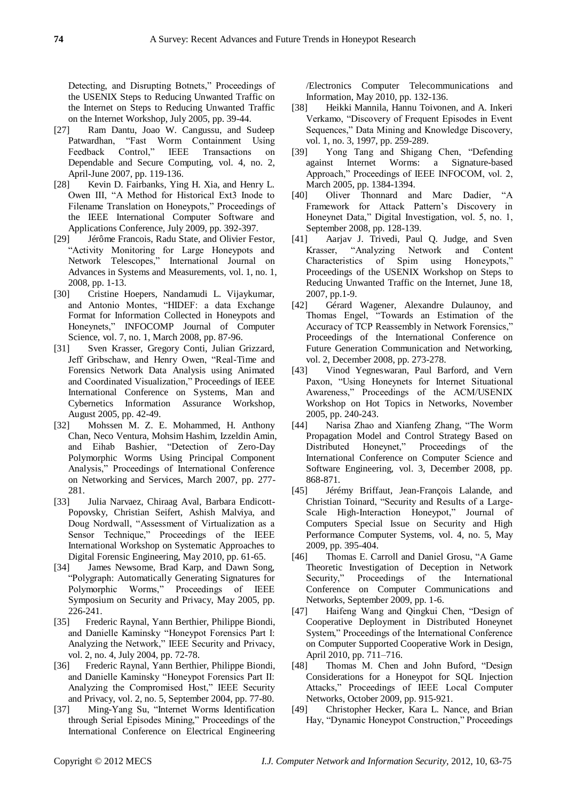Detecting, and Disrupting Botnets," Proceedings of the USENIX Steps to Reducing Unwanted Traffic on the Internet on Steps to Reducing Unwanted Traffic on the Internet Workshop, July 2005, pp. 39-44.

- [27] Ram Dantu, Joao W. Cangussu, and Sudeep Patwardhan, "Fast Worm Containment Using Feedback Control," IEEE Transactions on Dependable and Secure Computing, vol. 4, no. 2, April-June 2007, pp. 119-136.
- [28] Kevin D. Fairbanks, Ying H. Xia, and Henry L. Owen III, "A Method for Historical Ext3 Inode to Filename Translation on Honeypots," Proceedings of the IEEE International Computer Software and Applications Conference, July 2009, pp. 392-397.
- [29] Jérôme Francois, Radu State, and Olivier Festor, ―Activity Monitoring for Large Honeypots and Network Telescopes," International Journal on Advances in Systems and Measurements, vol. 1, no. 1, 2008, pp. 1-13.
- [30] Cristine Hoepers, Nandamudi L. Vijaykumar, and Antonio Montes, "HIDEF: a data Exchange Format for Information Collected in Honeypots and Honeynets," INFOCOMP Journal of Computer Science, vol. 7, no. 1, March 2008, pp. 87-96.
- [31] Sven Krasser, Gregory Conti, Julian Grizzard, Jeff Gribschaw, and Henry Owen, "Real-Time and Forensics Network Data Analysis using Animated and Coordinated Visualization," Proceedings of IEEE International Conference on Systems, Man and Cybernetics Information Assurance Workshop, August 2005, pp. 42-49.
- [32] Mohssen M. Z. E. Mohammed, H. Anthony Chan, Neco Ventura, Mohsim Hashim, Izzeldin Amin, and Eihab Bashier, "Detection of Zero-Day Polymorphic Worms Using Principal Component Analysis," Proceedings of International Conference on Networking and Services, March 2007, pp. 277- 281.
- [33] Julia Narvaez, Chiraag Aval, Barbara Endicott-Popovsky, Christian Seifert, Ashish Malviya, and Doug Nordwall, "Assessment of Virtualization as a Sensor Technique," Proceedings of the IEEE International Workshop on Systematic Approaches to Digital Forensic Engineering, May 2010, pp. 61-65.
- [34] James Newsome, Brad Karp, and Dawn Song, ―Polygraph: Automatically Generating Signatures for Polymorphic Worms," Proceedings of IEEE Symposium on Security and Privacy, May 2005, pp. 226-241.
- [35] Frederic Raynal, Yann Berthier, Philippe Biondi, and Danielle Kaminsky "Honeypot Forensics Part I: Analyzing the Network," IEEE Security and Privacy, vol. 2, no. 4, July 2004, pp. 72-78.
- [36] Frederic Raynal, Yann Berthier, Philippe Biondi, and Danielle Kaminsky "Honeypot Forensics Part II: Analyzing the Compromised Host," IEEE Security and Privacy, vol. 2, no. 5, September 2004, pp. 77-80.
- [37] Ming-Yang Su, "Internet Worms Identification through Serial Episodes Mining," Proceedings of the International Conference on Electrical Engineering

/Electronics Computer Telecommunications and Information, May 2010, pp. 132-136.

- [38] Heikki Mannila, Hannu Toivonen, and A. Inkeri Verkamo, "Discovery of Frequent Episodes in Event Sequences," Data Mining and Knowledge Discovery, vol. 1, no. 3, 1997, pp. 259-289.
- [39] Yong Tang and Shigang Chen, "Defending against Internet Worms: a Signature-based Approach," Proceedings of IEEE INFOCOM, vol. 2, March 2005, pp. 1384-1394.
- [40] Oliver Thonnard and Marc Dadier, "A Framework for Attack Pattern's Discovery in Honeynet Data," Digital Investigation, vol. 5, no. 1, September 2008, pp. 128-139.
- [41] Aarjav J. Trivedi, Paul Q. Judge, and Sven Krasser, "Analyzing Network and Content Characteristics of Spim using Honeypots," Proceedings of the USENIX Workshop on Steps to Reducing Unwanted Traffic on the Internet, June 18, 2007, pp.1-9.
- [42] Gérard Wagener, Alexandre Dulaunoy, and Thomas Engel, "Towards an Estimation of the Accuracy of TCP Reassembly in Network Forensics," Proceedings of the International Conference on Future Generation Communication and Networking, vol. 2, December 2008, pp. 273-278.
- [43] Vinod Yegneswaran, Paul Barford, and Vern Paxon, "Using Honeynets for Internet Situational Awareness," Proceedings of the ACM/USENIX Workshop on Hot Topics in Networks, November 2005, pp. 240-243.
- [44] Narisa Zhao and Xianfeng Zhang, "The Worm Propagation Model and Control Strategy Based on Distributed Honeynet," Proceedings of the International Conference on Computer Science and Software Engineering, vol. 3, December 2008, pp. 868-871.
- [45] Jérémy Briffaut, Jean-François Lalande, and Christian Toinard, "Security and Results of a Large-Scale High-Interaction Honeypot," Journal of Computers Special Issue on Security and High Performance Computer Systems, vol. 4, no. 5, May 2009, pp. 395-404.
- [46] Thomas E. Carroll and Daniel Grosu, "A Game Theoretic Investigation of Deception in Network Security," Proceedings of the International Conference on Computer Communications and Networks, September 2009, pp. 1-6.
- [47] Haifeng Wang and Qingkui Chen, "Design of Cooperative Deployment in Distributed Honeynet System," Proceedings of the International Conference on Computer Supported Cooperative Work in Design, April 2010, pp. 711–716.
- [48] Thomas M. Chen and John Buford, "Design Considerations for a Honeypot for SQL Injection Attacks," Proceedings of IEEE Local Computer Networks, October 2009, pp. 915-921.
- [49] Christopher Hecker, Kara L. Nance, and Brian Hay, "Dynamic Honeypot Construction," Proceedings